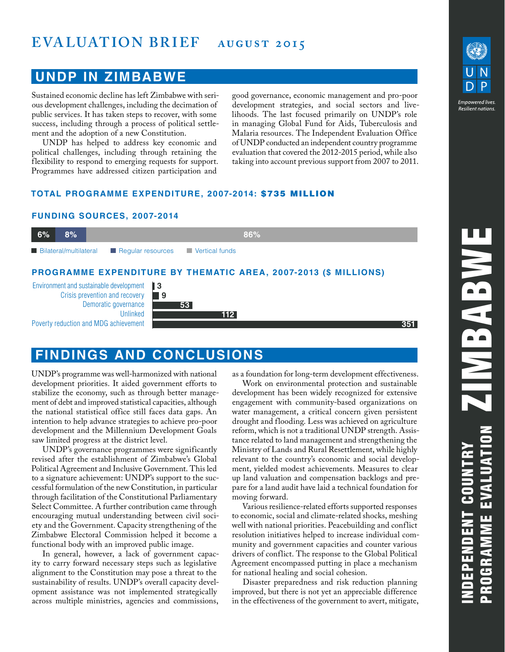# **EVALUATION BRIEF** AUGUST 2015

### **UNDP IN ZIMBABWE**

Sustained economic decline has left Zimbabwe with serious development challenges, including the decimation of public services. It has taken steps to recover, with some success, including through a process of political settlement and the adoption of a new Constitution.

UNDP has helped to address key economic and political challenges, including through retaining the flexibility to respond to emerging requests for support. Programmes have addressed citizen participation and

good governance, economic management and pro-poor development strategies, and social sectors and livelihoods. The last focused primarily on UNDP's role in managing Global Fund for Aids, Tuberculosis and Malaria resources. The Independent Evaluation Office of UNDP conducted an independent country programme evaluation that covered the 2012-2015 period, while also taking into account previous support from 2007 to 2011.

#### **TOTAL PROGRAMME EXPENDITURE, 2007-2014:** \$735 MILLION

#### **FUNDING SOURCES, 2007-2014**



## **FINDINGS AND CONCLUSIONS**

UNDP's programme was well-harmonized with national development priorities. It aided government efforts to stabilize the economy, such as through better management of debt and improved statistical capacities, although the national statistical office still faces data gaps. An intention to help advance strategies to achieve pro-poor development and the Millennium Development Goals saw limited progress at the district level.

UNDP's governance programmes were significantly revised after the establishment of Zimbabwe's Global Political Agreement and Inclusive Government. This led to a signature achievement: UNDP's support to the successful formulation of the new Constitution, in particular through facilitation of the Constitutional Parliamentary Select Committee. A further contribution came through encouraging mutual understanding between civil society and the Government. Capacity strengthening of the Zimbabwe Electoral Commission helped it become a functional body with an improved public image.

In general, however, a lack of government capacity to carry forward necessary steps such as legislative alignment to the Constitution may pose a threat to the sustainability of results. UNDP's overall capacity development assistance was not implemented strategically across multiple ministries, agencies and commissions,

as a foundation for long-term development effectiveness.

Work on environmental protection and sustainable development has been widely recognized for extensive engagement with community-based organizations on water management, a critical concern given persistent drought and flooding. Less was achieved on agriculture reform, which is not a traditional UNDP strength. Assistance related to land management and strengthening the Ministry of Lands and Rural Resettlement, while highly relevant to the country's economic and social development, yielded modest achievements. Measures to clear up land valuation and compensation backlogs and prepare for a land audit have laid a technical foundation for moving forward.

Various resilience-related efforts supported responses to economic, social and climate-related shocks, meshing well with national priorities. Peacebuilding and conflict resolution initiatives helped to increase individual community and government capacities and counter various drivers of conflict. The response to the Global Political Agreement encompassed putting in place a mechanism for national healing and social cohesion.

Disaster preparedness and risk reduction planning improved, but there is not yet an appreciable difference in the effectiveness of the government to avert, mitigate,



**Empowered lives** Resilient nation